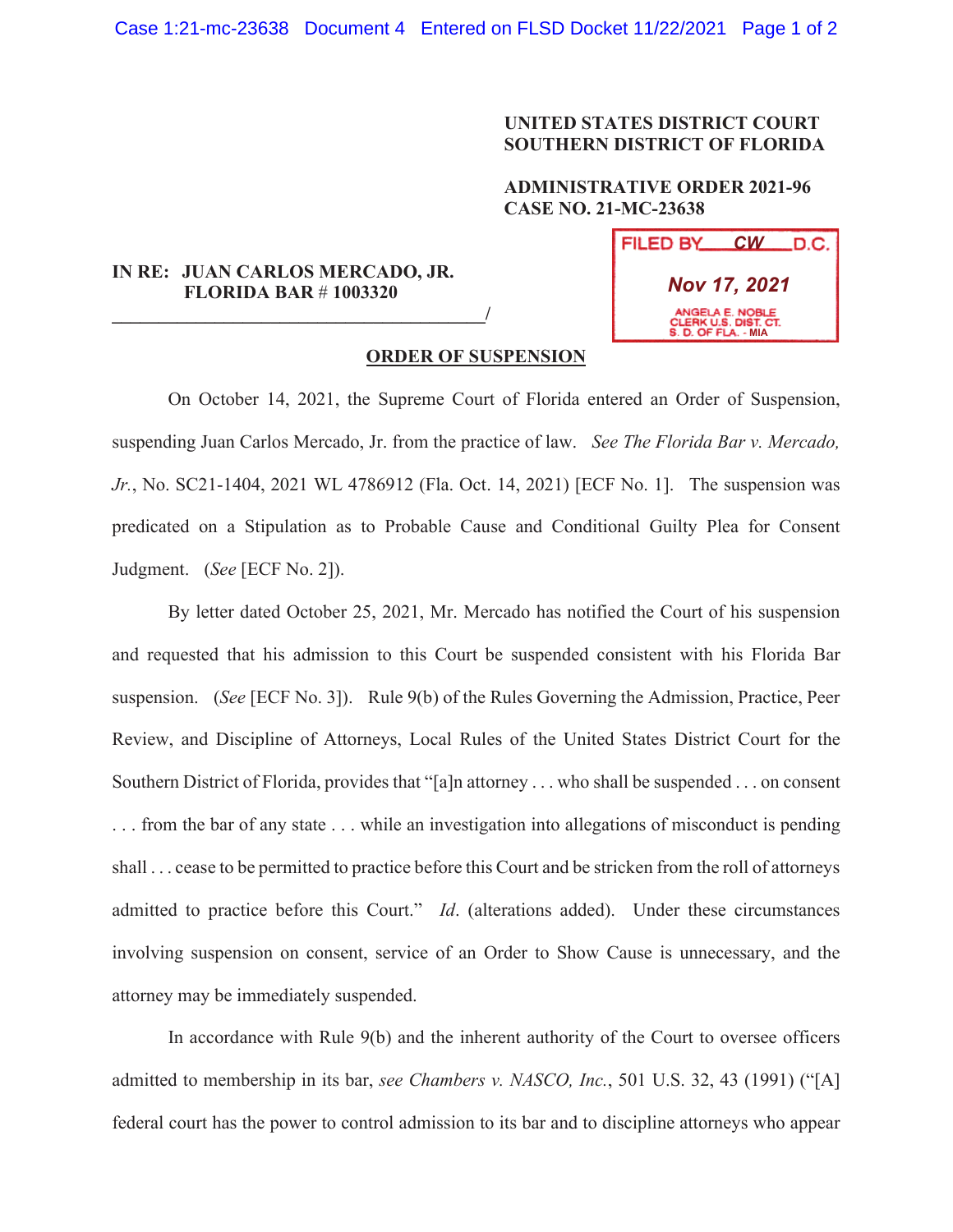## **UNITED STATES DISTRICT COURT SOUTHERN DISTRICT OF FLORIDA**

## **ADMINISTRATIVE ORDER 2021-96 CASE NO. 21-MC-23638**

## **IN RE: JUAN CARLOS MERCADO, JR. FLORIDA BAR** # **1003320**

**\_\_\_\_\_\_\_\_\_\_\_\_\_\_\_\_\_\_\_\_\_\_\_\_\_\_\_\_\_\_\_\_\_\_\_\_\_\_\_\_/**

| FILED BY                                                              |  | $CW$ D.C. |
|-----------------------------------------------------------------------|--|-----------|
| <b>Nov 17, 2021</b>                                                   |  |           |
| ANGELA E. NOBLE<br><b>CLERK U.S. DIST. CT.</b><br>S. D. OF FLA. - MIA |  |           |

## **ORDER OF SUSPENSION**

 On October 14, 2021, the Supreme Court of Florida entered an Order of Suspension, suspending Juan Carlos Mercado, Jr. from the practice of law. *See The Florida Bar v. Mercado, Jr.*, No. SC21-1404, 2021 WL 4786912 (Fla. Oct. 14, 2021) [ECF No. 1]. The suspension was predicated on a Stipulation as to Probable Cause and Conditional Guilty Plea for Consent Judgment. (*See* [ECF No. 2]).

By letter dated October 25, 2021, Mr. Mercado has notified the Court of his suspension and requested that his admission to this Court be suspended consistent with his Florida Bar suspension. (*See* [ECF No. 3]). Rule 9(b) of the Rules Governing the Admission, Practice, Peer Review, and Discipline of Attorneys, Local Rules of the United States District Court for the Southern District of Florida, provides that "[a]n attorney . . . who shall be suspended . . . on consent . . . from the bar of any state . . . while an investigation into allegations of misconduct is pending shall . . . cease to be permitted to practice before this Court and be stricken from the roll of attorneys admitted to practice before this Court." *Id*. (alterations added). Under these circumstances involving suspension on consent, service of an Order to Show Cause is unnecessary, and the attorney may be immediately suspended.

In accordance with Rule 9(b) and the inherent authority of the Court to oversee officers admitted to membership in its bar, *see Chambers v. NASCO, Inc.*, 501 U.S. 32, 43 (1991) ("[A] federal court has the power to control admission to its bar and to discipline attorneys who appear